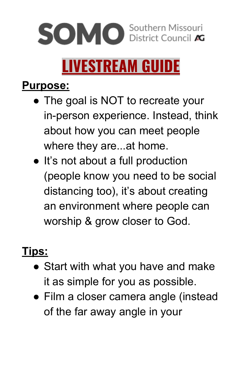# **SOMO** Southern Missouri

## **LIVESTREAM GUIDE**

#### **Purpose:**

- The goal is NOT to recreate your in-person experience. Instead, think about how you can meet people where they are...at home.
- It's not about a full production (people know you need to be social distancing too), it's about creating an environment where people can worship & grow closer to God.

#### **Tips:**

- Start with what you have and make it as simple for you as possible.
- Film a closer camera angle (instead of the far away angle in your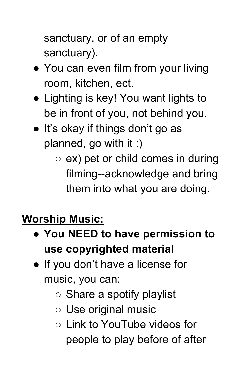sanctuary, or of an empty sanctuary).

- You can even film from your living room, kitchen, ect.
- Lighting is key! You want lights to be in front of you, not behind you.
- It's okay if things don't go as planned, go with it :)
	- $\circ$  ex) pet or child comes in during filming--acknowledge and bring them into what you are doing.

#### **Worship Music:**

- **You NEED to have permission to use copyrighted material**
- If you don't have a license for music, you can:
	- Share a spotify playlist
	- Use original music
	- Link to YouTube videos for people to play before of after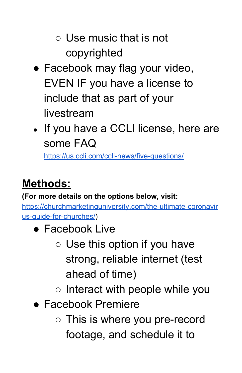- $\circ$  Use music that is not copyrighted
- Facebook may flag your video, EVEN IF you have a license to include that as part of your livestream
- If you have a CCLI license, here are some FAQ

<https://us.ccli.com/ccli-news/five-questions/>

#### **Methods:**

**(For more details on the options below, visit:**

[https://churchmarketinguniversity.com/the-ultimate-coronavir](https://churchmarketinguniversity.com/the-ultimate-coronavirus-guide-for-churches/) [us-guide-for-churches/](https://churchmarketinguniversity.com/the-ultimate-coronavirus-guide-for-churches/))

- Facebook Live
	- Use this option if you have strong, reliable internet (test ahead of time)
	- Interact with people while you
- Facebook Premiere
	- This is where you pre-record footage, and schedule it to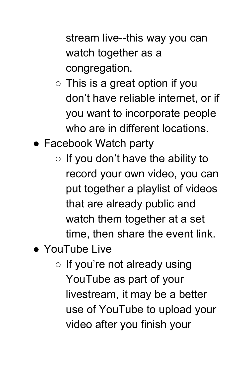stream live--this way you can watch together as a congregation.

- $\circ$  This is a great option if you don't have reliable internet, or if you want to incorporate people who are in different locations.
- Facebook Watch party
	- $\circ$  If you don't have the ability to record your own video, you can put together a playlist of videos that are already public and watch them together at a set time, then share the event link.
- YouTube Live
	- $\circ$  If you're not already using YouTube as part of your livestream, it may be a better use of YouTube to upload your video after you finish your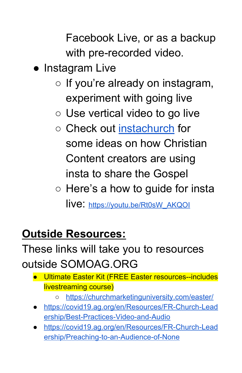Facebook Live, or as a backup with pre-recorded video.

- Instagram Live
	- $\circ$  If you're already on instagram, experiment with going live
	- Use vertical video to go live
	- Check out [instachurch](https://www.instagram.com/instachurchlive/) for some ideas on how Christian Content creators are using insta to share the Gospel
	- $\circ$  Here's a how to guide for insta live: [https://youtu.be/Rt0sW\\_AKQOI](https://youtu.be/Rt0sW_AKQOI)

#### **Outside Resources:**

#### These links will take you to resources outside SOMOAG.ORG

- Ultimate Easter Kit (FREE Easter resources--includes livestreaming course)
	- <https://churchmarketinguniversity.com/easter/>
- [https://covid19.ag.org/en/Resources/FR-Church-Lead](https://covid19.ag.org/en/Resources/FR-Church-Leadership/Best-Practices-Video-and-Audio) [ership/Best-Practices-Video-and-Audio](https://covid19.ag.org/en/Resources/FR-Church-Leadership/Best-Practices-Video-and-Audio)
- [https://covid19.ag.org/en/Resources/FR-Church-Lead](https://covid19.ag.org/en/Resources/FR-Church-Leadership/Preaching-to-an-Audience-of-None) [ership/Preaching-to-an-Audience-of-None](https://covid19.ag.org/en/Resources/FR-Church-Leadership/Preaching-to-an-Audience-of-None)